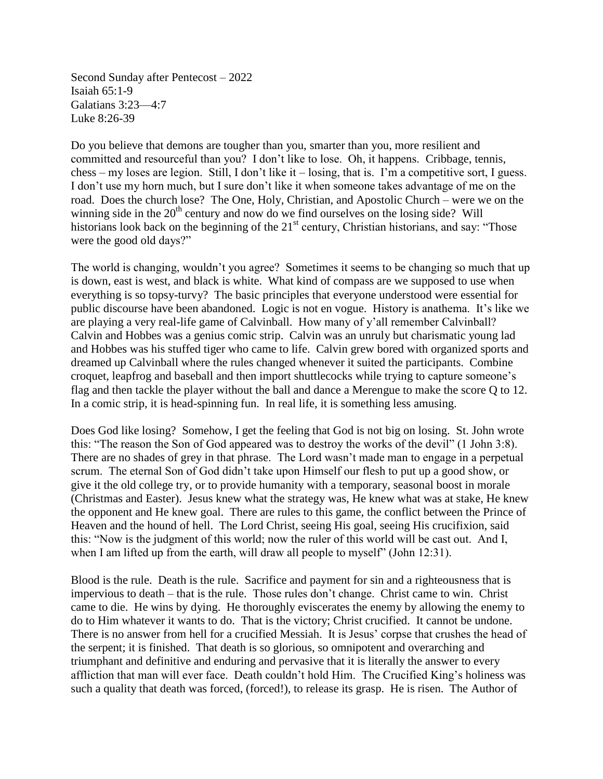Second Sunday after Pentecost – 2022 Isaiah 65:1-9 Galatians 3:23—4:7 Luke 8:26-39

Do you believe that demons are tougher than you, smarter than you, more resilient and committed and resourceful than you? I don't like to lose. Oh, it happens. Cribbage, tennis, chess – my loses are legion. Still, I don't like it – losing, that is. I'm a competitive sort, I guess. I don't use my horn much, but I sure don't like it when someone takes advantage of me on the road. Does the church lose? The One, Holy, Christian, and Apostolic Church – were we on the winning side in the 20<sup>th</sup> century and now do we find ourselves on the losing side? Will historians look back on the beginning of the 21<sup>st</sup> century, Christian historians, and say: "Those were the good old days?"

The world is changing, wouldn't you agree? Sometimes it seems to be changing so much that up is down, east is west, and black is white. What kind of compass are we supposed to use when everything is so topsy-turvy? The basic principles that everyone understood were essential for public discourse have been abandoned. Logic is not en vogue. History is anathema. It's like we are playing a very real-life game of Calvinball. How many of y'all remember Calvinball? Calvin and Hobbes was a genius comic strip. Calvin was an unruly but charismatic young lad and Hobbes was his stuffed tiger who came to life. Calvin grew bored with organized sports and dreamed up Calvinball where the rules changed whenever it suited the participants. Combine croquet, leapfrog and baseball and then import shuttlecocks while trying to capture someone's flag and then tackle the player without the ball and dance a Merengue to make the score Q to 12. In a comic strip, it is head-spinning fun. In real life, it is something less amusing.

Does God like losing? Somehow, I get the feeling that God is not big on losing. St. John wrote this: "The reason the Son of God appeared was to destroy the works of the devil" (1 John 3:8). There are no shades of grey in that phrase. The Lord wasn't made man to engage in a perpetual scrum. The eternal Son of God didn't take upon Himself our flesh to put up a good show, or give it the old college try, or to provide humanity with a temporary, seasonal boost in morale (Christmas and Easter). Jesus knew what the strategy was, He knew what was at stake, He knew the opponent and He knew goal. There are rules to this game, the conflict between the Prince of Heaven and the hound of hell. The Lord Christ, seeing His goal, seeing His crucifixion, said this: "Now is the judgment of this world; now the ruler of this world will be cast out. And I, when I am lifted up from the earth, will draw all people to myself" (John 12:31).

Blood is the rule. Death is the rule. Sacrifice and payment for sin and a righteousness that is impervious to death – that is the rule. Those rules don't change. Christ came to win. Christ came to die. He wins by dying. He thoroughly eviscerates the enemy by allowing the enemy to do to Him whatever it wants to do. That is the victory; Christ crucified. It cannot be undone. There is no answer from hell for a crucified Messiah. It is Jesus' corpse that crushes the head of the serpent; it is finished. That death is so glorious, so omnipotent and overarching and triumphant and definitive and enduring and pervasive that it is literally the answer to every affliction that man will ever face. Death couldn't hold Him. The Crucified King's holiness was such a quality that death was forced, (forced!), to release its grasp. He is risen. The Author of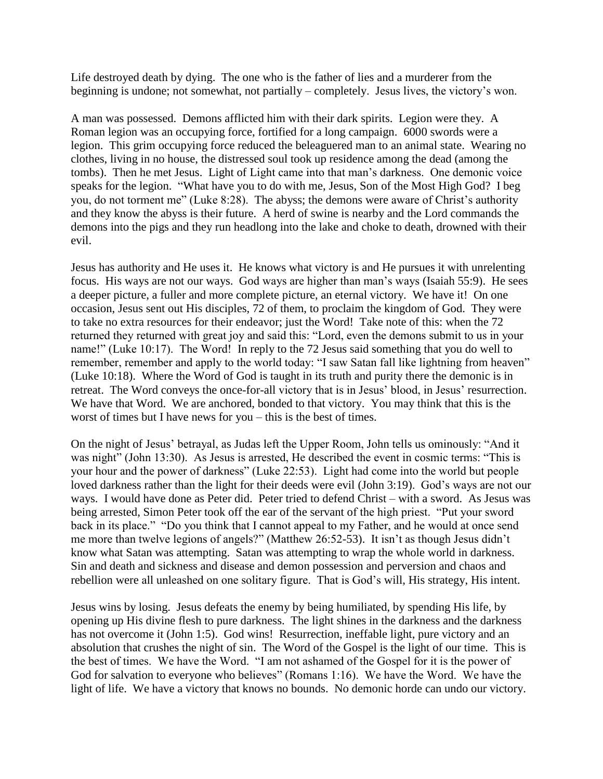Life destroyed death by dying. The one who is the father of lies and a murderer from the beginning is undone; not somewhat, not partially – completely. Jesus lives, the victory's won.

A man was possessed. Demons afflicted him with their dark spirits. Legion were they. A Roman legion was an occupying force, fortified for a long campaign. 6000 swords were a legion. This grim occupying force reduced the beleaguered man to an animal state. Wearing no clothes, living in no house, the distressed soul took up residence among the dead (among the tombs). Then he met Jesus. Light of Light came into that man's darkness. One demonic voice speaks for the legion. "What have you to do with me, Jesus, Son of the Most High God? I beg you, do not torment me" (Luke 8:28). The abyss; the demons were aware of Christ's authority and they know the abyss is their future. A herd of swine is nearby and the Lord commands the demons into the pigs and they run headlong into the lake and choke to death, drowned with their evil.

Jesus has authority and He uses it. He knows what victory is and He pursues it with unrelenting focus. His ways are not our ways. God ways are higher than man's ways (Isaiah 55:9). He sees a deeper picture, a fuller and more complete picture, an eternal victory. We have it! On one occasion, Jesus sent out His disciples, 72 of them, to proclaim the kingdom of God. They were to take no extra resources for their endeavor; just the Word! Take note of this: when the 72 returned they returned with great joy and said this: "Lord, even the demons submit to us in your name!" (Luke 10:17). The Word! In reply to the 72 Jesus said something that you do well to remember, remember and apply to the world today: "I saw Satan fall like lightning from heaven" (Luke 10:18). Where the Word of God is taught in its truth and purity there the demonic is in retreat. The Word conveys the once-for-all victory that is in Jesus' blood, in Jesus' resurrection. We have that Word. We are anchored, bonded to that victory. You may think that this is the worst of times but I have news for you – this is the best of times.

On the night of Jesus' betrayal, as Judas left the Upper Room, John tells us ominously: "And it was night" (John 13:30). As Jesus is arrested, He described the event in cosmic terms: "This is your hour and the power of darkness" (Luke 22:53). Light had come into the world but people loved darkness rather than the light for their deeds were evil (John 3:19). God's ways are not our ways. I would have done as Peter did. Peter tried to defend Christ – with a sword. As Jesus was being arrested, Simon Peter took off the ear of the servant of the high priest. "Put your sword back in its place." "Do you think that I cannot appeal to my Father, and he would at once send me more than twelve legions of angels?" (Matthew 26:52-53). It isn't as though Jesus didn't know what Satan was attempting. Satan was attempting to wrap the whole world in darkness. Sin and death and sickness and disease and demon possession and perversion and chaos and rebellion were all unleashed on one solitary figure. That is God's will, His strategy, His intent.

Jesus wins by losing. Jesus defeats the enemy by being humiliated, by spending His life, by opening up His divine flesh to pure darkness. The light shines in the darkness and the darkness has not overcome it (John 1:5). God wins! Resurrection, ineffable light, pure victory and an absolution that crushes the night of sin. The Word of the Gospel is the light of our time. This is the best of times. We have the Word. "I am not ashamed of the Gospel for it is the power of God for salvation to everyone who believes" (Romans 1:16). We have the Word. We have the light of life. We have a victory that knows no bounds. No demonic horde can undo our victory.